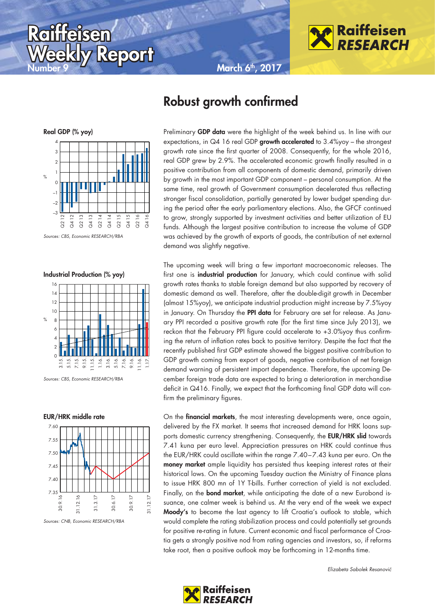**March 6th, 2017** 



**Robust growth confirmed** 



 $Repord$ 

Sources: CBS, Economic RESEARCH/RBA

**Raiffeisen aiffeisen**

# **Industrial Production (% yoy)**



Sources: CBS, Economic RESEARCH/RBA

#### **EUR/HRK middle rate**



Sources: CNB, Economic RESEARCH/RBA

Preliminary **GDP data** were the highlight of the week behind us. In line with our expectations, in Q4 16 real GDP **growth accelerated** to 3.4%yoy – the strongest growth rate since the first quarter of 2008. Consequently, for the whole 2016, real GDP grew by 2.9%. The accelerated economic growth finally resulted in a positive contribution from all components of domestic demand, primarily driven by growth in the most important GDP component – personal consumption. At the same time, real growth of Government consumption decelerated thus reflecting stronger fiscal consolidation, partially generated by lower budget spending dur-

ing the period after the early parliamentary elections. Also, the GFCF continued to grow, strongly supported by investment activities and better utilization of EU funds. Although the largest positive contribution to increase the volume of GDP was achieved by the growth of exports of goods, the contribution of net external demand was slightly negative.

The upcoming week will bring a few important macroeconomic releases. The first one is **industrial production** for January, which could continue with solid growth rates thanks to stable foreign demand but also supported by recovery of domestic demand as well. Therefore, after the double-digit growth in December (almost 15%yoy), we anticipate industrial production might increase by 7.5%yoy in January. On Thursday the **PPI data** for February are set for release. As January PPI recorded a positive growth rate (for the first time since July 2013), we reckon that the February PPI figure could accelerate to +3.0%yoy thus confirming the return of inflation rates back to positive territory. Despite the fact that the recently published first GDP estimate showed the biggest positive contribution to GDP growth coming from export of goods, negative contribution of net foreign demand warning of persistent import dependence. Therefore, the upcoming December foreign trade data are expected to bring a deterioration in merchandise deficit in Q416. Finally, we expect that the forthcoming final GDP data will confirm the preliminary figures.

On the **financial markets**, the most interesting developments were, once again, delivered by the FX market. It seems that increased demand for HRK loans supports domestic currency strengthening. Consequently, the **EUR/HRK slid** towards 7.41 kuna per euro level. Appreciation pressures on HRK could continue thus the EUR/HRK could oscillate within the range 7.40-7.43 kuna per euro. On the **money market** ample liquidity has persisted thus keeping interest rates at their historical lows. On the upcoming Tuesday auction the Ministry of Finance plans to issue HRK 800 mn of 1Y T-bills. Further correction of yield is not excluded. Finally, on the **bond market**, while anticipating the date of a new Eurobond issuance, one calmer week is behind us. At the very end of the week we expect **Moody's** to become the last agency to lift Croatia's outlook to stable, which would complete the rating stabilization process and could potentially set grounds for positive re-rating in future. Current economic and fiscal performance of Croatia gets a strongly positive nod from rating agencies and investors, so, if reforms take root, then a positive outlook may be forthcoming in 12-months time.

Elizabeta Sabolek Resanović

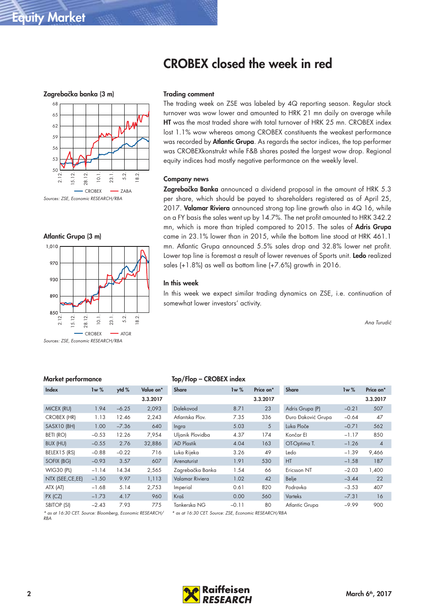







Sources: ZSE, Economic RESEARCH/RBA

#### **Trading comment**

The trading week on ZSE was labeled by 4Q reporting season. Regular stock turnover was wow lower and amounted to HRK 21 mn daily on average while **HT** was the most traded share with total turnover of HRK 25 mn. CROBEX index lost 1.1% wow whereas among CROBEX constituents the weakest performance was recorded by **Atlantic Grupa**. As regards the sector indices, the top performer was CROBEXkonstrukt while F&B shares posted the largest wow drop. Regional equity indices had mostly negative performance on the weekly level.

#### **Company news**

**Zagrebačka Banka** announced a dividend proposal in the amount of HRK 5.3 per share, which should be payed to shareholders registered as of April 25, 2017. **Valamar Riviera** announced strong top line growth also in 4Q 16, while on a FY basis the sales went up by 14.7%. The net profit amounted to HRK 342.2 mn, which is more than tripled compared to 2015. The sales of **Adris Grupa** came in 23.1% lower than in 2015, while the bottom line stood at HRK 461.1 mn. Atlantic Grupa announced 5.5% sales drop and 32.8% lower net profit. Lower top line is foremost a result of lower revenues of Sports unit. **Ledo** realized sales (+1.8%) as well as bottom line (+7.6%) growth in 2016.

#### **In this week**

In this week we expect similar trading dynamics on ZSE, i.e. continuation of somewhat lower investors' activity.

Ana Turudić

## **Market performance**

| Index                                                    | 1w%     | ytd %   | Value on* |
|----------------------------------------------------------|---------|---------|-----------|
|                                                          |         |         | 3.3.2017  |
| <b>MICEX (RU)</b>                                        | 1.94    | $-6.25$ | 2,093     |
| CROBEX (HR)                                              | 1.13    | 12.46   | 2,243     |
| SASX10 (BH)                                              | 1.00    | $-7.36$ | 640       |
| BETI (RO)                                                | $-0.53$ | 12.26   | 7,954     |
| <b>BUX (HU)</b>                                          | $-0.55$ | 2.76    | 32,886    |
| BELEX15 (RS)                                             | $-0.88$ | $-0.22$ | 716       |
| SOFIX (BG)                                               | $-0.93$ | 3.57    | 607       |
| WIG30 (PL)                                               | $-1.14$ | 14.34   | 2,565     |
| NTX (SEE, CE, EE)                                        | $-1.50$ | 9.97    | 1,113     |
| ATX (AT)                                                 | $-1.68$ | 5.14    | 2,753     |
| $PX$ ( $CZ$ )                                            | $-1.73$ | 4.17    | 960       |
| <b>SBITOP (SI)</b>                                       | $-2.43$ | 7.93    | 775       |
| * as at 16:30 CET. Source: Bloombera. Economic RESEARCH/ |         |         |           |

## **Top/Flop – CROBEX index**

| Share                                                 | $1w\%$  | Price on* | <b>Share</b>       | $1w\%$  | Price on*      |
|-------------------------------------------------------|---------|-----------|--------------------|---------|----------------|
|                                                       |         | 3.3.2017  |                    |         | 3.3.2017       |
| Dalekovod                                             | 8.71    | 23        | Adris Grupa (P)    | $-0.21$ | 507            |
| Atlantska Plov.                                       | 7.35    | 336       | Đuro Đaković Grupa | $-0.64$ | 47             |
| Ingra                                                 | 5.03    | 5         | Luka Ploče         | $-0.71$ | 562            |
| Uljanik Plovidba                                      | 4.37    | 174       | Končar El          | $-1.17$ | 850            |
| <b>AD Plastik</b>                                     | 4.04    | 163       | OT-Optima T.       | $-1.26$ | $\overline{4}$ |
| Luka Rijeka                                           | 3.26    | 49        | Ledo               | $-1.39$ | 9,466          |
| Arenaturist                                           | 1.91    | 530       | HT.                | $-1.58$ | 187            |
| Zagrebačka Banka                                      | 1.54    | 66        | Ericsson NT        | $-2.03$ | 1,400          |
| Valamar Riviera                                       | 1.02    | 42        | Belje              | $-3.44$ | 22             |
| Imperial                                              | 0.61    | 820       | Podravka           | $-3.53$ | 407            |
| Kraš                                                  | 0.00    | 560       | <b>Varteks</b>     | $-7.31$ | 16             |
| Tankerska NG                                          | $-0.11$ | 80        | Atlantic Grupa     | $-9.99$ | 900            |
| * as at 16:30 CET. Source: ZSE. Economic RESEARCH/RBA |         |           |                    |         |                |

\* as at 16:30 CET. Source: Bloomberg, Economic RESEARCH/  $R_{BA}$ 

\* as at 16:30 CET. Source: ZSE, Economic RESEARCH/RBA

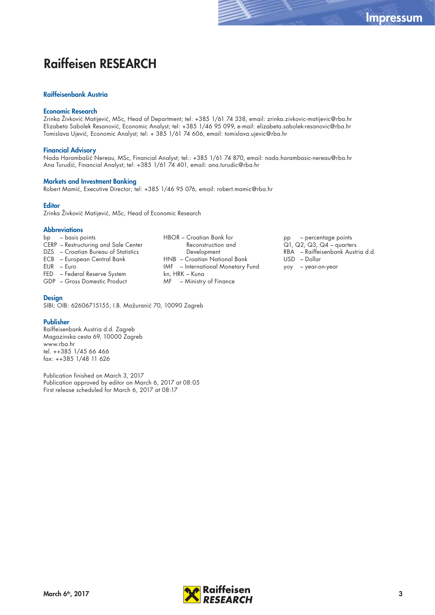# **Raiffeisen RESEARCH**

### **Raiffeisenbank Austria**

#### **Economic Research**

Zrinka Živković Matijević, MSc, Head of Department; tel: +385 1/61 74 338, email: zrinka.zivkovic-matijevic@rba.hr Elizabeta Sabolek Resanović, Economic Analyst; tel: +385 1/46 95 099, e-mail: elizabeta.sabolek-resanovic@rba.hr Tomislava Ujević, Economic Analyst; tel: + 385 1/61 74 606, email: tomislava.ujevic@rba.hr

#### **Financial Advisory**

Nada Harambašić Nereau, MSc, Financial Analyst; tel.: +385 1/61 74 870, email: nada.harambasic-nereau@rba.hr Ana Turudić, Financial Analyst; tel: +385 1/61 74 401, email: ana.turudic@rba.hr

#### **Markets and Investment Banking**

Robert Mamić, Executive Director; tel: +385 1/46 95 076, email: robert.mamic@rba.hr

## **Editor**

Zrinka Živković Matijević, MSc, Head of Economic Research

#### **Abbreviations**

- bp basis points
- CERP Restructuring and Sale Center DZS – Croatian Bureau of Statistics
- ECB European Central Bank
- EUR Euro
- FED Federal Reserve System

GDP – Gross Domestic Product

#### **Design**

SIBI; OIB: 62606715155; I.B. Mažuranić 70, 10090 Zagreb

#### **Publisher**

Raiffeisenbank Austria d.d. Zagreb Magazinska cesta 69, 10000 Zagreb www.rba.hr tel. ++385 1/45 66 466 fax: ++385 1/48 11 626

Publication finished on March 3, 2017 Publication approved by editor on March 6, 2017 at 08:05 First release scheduled for March 6, 2017 at 08:17

HBOR – Croatian Bank for Reconstruction and Development HNB – Croatian National Bank IMF – International Monetary Fund kn, HRK – Kuna MF – Ministry of Finance

pp – percentage points Q1, Q2, Q3, Q4 – quarters RBA – Raiffeisenbank Austria d.d. USD – Dollar yoy – year-on-year

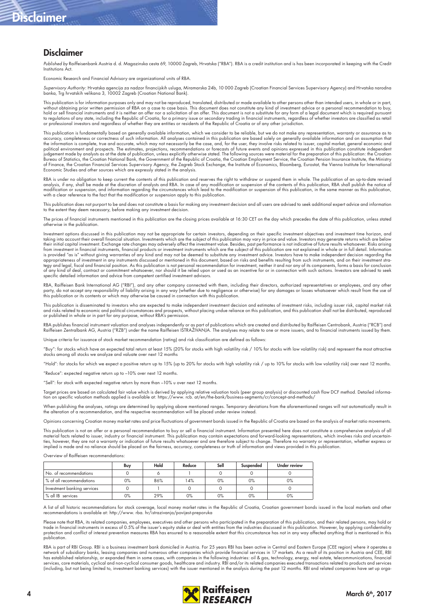# **Disclaimer**

# **Disclaimer**

Published by Raiffeisenbank Austria d. d. Magazinska cesta 69, 10000 Zagreb, Hrvatska ("RBA"). RBA is a credit institution and is has been incorporated in keeping with the Credit Institutions Act.

Economic Research and Financial Advisory are organizational units of RBA.

*Supervisory Authority*: Hrvatska agencija za nadzor financijskih usluga, Miramarska 24b, 10 000 Zagreb (Croatian Financial Services Supervisory Agency) and Hrvatska narodna<br>banka, Trg hrvatskih velikana 3, 10002 Zagreb (C

This publication is for information purposes only and may not be reproduced, translated, distributed or made available to other persons other than intended users, in whole or in part, without obtaining prior written permission of RBA on a case to case basis. This document does not constitute any kind of investment advice or a personal recommendation to buy,<br>hold or sell financial instruments and it is n to regulations of any state, including the Republic of Croatia, for a primary issue or secondary trading in financial instruments, regardless of whether investors are classified as retail or professional investors and regardless of whether they are entities or residents of the Republic of Croatia or of any other jurisdiction.

This publication is fundamentally based on generally available information, which we consider to be reliable, but we do not make any representation, warranty or assurance as to accuracy, completeness or correctness of such information. All analyses contained in this publication are based solely on generally available information and on assumption that<br>the information is complete, true and accurat political environment and prospects. The estimates, projections, recommendations or forecasts of future events and opinions expressed in this publication constitute independent<br>judgement made by analysts as at the date of Bureau of Statistics, the Croatian National Bank, the Government of the Republic of Croatia, the Croatian Employment Service, the Croatian Pension Insurance Institute, the Ministry of Finance, the Croatian Financial Services Supervisory Agency, the Zagreb Stock Exchange, the Institute of Economics, Bloomberg, Eurostat, the Vienna Institute for International<br>Economic Studies and other sources which ar

RBA is under no obligation to keep current the contents of this publication and reserves the right to withdraw or suspend them in whole. The publication of an up-to-date revised analysis, if any, shall be made at the discretion of analysts and RBA. In case of any modification or suspension of the contents of this publication, RBA shall publish the notice of modification or suspension, and information regarding the circumstances which lead to the modification or suspension of this publication, in the same manner as this publication,<br>with a clear reference to the fact that the

This publication does not purport to be and does not constitute a basis for making any investment decision and all users are advised to seek additional expert advice and information to the extent they deem necessary, before making any investment decision.

The prices of financial instruments mentioned in this publication are the closing prices available at 16:30 CET on the day which precedes the date of this publication, unless stated otherwise in the publication.

Investment options discussed in this publication may not be appropriate for certain investors, depending on their specific investment objectives and investment time horizon, and<br>taking into account their overall financial from investment in financial instruments, financial products or investment instruments which are the subject of this publication are not explained in whole or in full detail. Information<br>is provided "as is" without giving appropriateness of investment in any instruments discussed or mentioned in this document, based on risks and benefits resulting from such instruments, and on their investment stra-<br>tegy and legal, fiscal and financial posi specific detailed information and advice from competent certified investment advisors.

RBA, Raiffeisen Bank International AG ("RBI"), and any other company connected with them, including their directors, authorized representatives or employees, and any other<br>party, do not accept any responsibility of liabili

This publication is disseminated to investors who are expected to make independent investment decision and estimates of investment risks, including issuer risk, capital market risk and risks related to economic and political circumstances and prospects, without placing undue reliance on this publication, and this publication shall not be distributed, reproduced<br>or published in whole or in part for an

RBA publishes financial instrument valuation and analyses independently or as part of publications which are created and distributed by Raiffeisen Centrobank, Austria ("RCB") and<br>Raiffeisen Zentralbank AG, Austria ("RZB")

iteria for issuance of stock market recommendation (rating) and risk classification are defined as follows:

"Buy": for stocks which have an expected total return at least 15% (20% for stocks with high volatility risk / 10% for stocks with low volatility risk) and represent the most attractive<br>stocks among all stocks we analyze a

"Hold": for stocks for which we expect a positive return up to 15% (up to 20% for stocks with high volatility risk / up to 10% for stocks with low volatility risk) over next 12 months.

"Reduce": expected negative return up to –10% over next 12 months.

"Sell": for stock with expected negative return by more than –10% u over next 12 months.

Target prices are based on calculated fair value which is derived by applying relative valuation tools (peer group analysis) or discounted cash flow DCF method. Detailed informa:<br>tion on specific valuation methods applied

When publishing the analyses, ratings are determined by applying above mentioned ranges. Temporary deviations from the aforementioned ranges will not automatically result in<br>the alteration of a recommendation, and the resp

Opinions concerning Croatian money market rates and price fluctuations of government bonds issued in the Republic of Croatia are based on the analysis of market ratio movements.

This publication is not an offer or a personal recommendation to buy or sell a financial instrument. Information presented here does not constitute a comprehensive analysis of all material facts related to issuer, industry or financial instrument. This publication may contain expectations and forward-looking representations, which involves risks and uncertain-<br>ties, however, they are not a warranty

Overview of Raiffeisen recommendations:

|                             | Buy | Hold | Reduce | Sell  | Suspended | <b>Under review</b> |
|-----------------------------|-----|------|--------|-------|-----------|---------------------|
| No. of recommendations      |     |      |        |       |           |                     |
| % of all recommendations    | 0%  | 86%  | 14%    | 0%    | 0%        | 0%                  |
| Investment banking services |     |      |        |       |           |                     |
| % all IB services           | 0%  | 29%  | 0%     | $0\%$ | 0%        | $0\%$               |

A list of all historic recommendations for stock coverage, local money market rates in the Republic of Croatia, Croatian government bonds issued in the local markets and other<br>recommendations is available at: http://www. r

Please note that RBA, its related companies, employees, executives and other persons who participated in the preparation of this publication, and their related persons, may hold or<br>trade in financial instruments in excess protection and conflict of interest prevention measures RBA has ensured to a reasonable extent that this circumstance has not in any way affected anything that is mentioned in this publication.

RBA is part of RBI Group. RBI is a business investment bank domiciled in Austria. For 25 years RBI has been active in Central and Eastern Europe (CEE region) where it operates a network of subsidiary banks, leasing companies and numerous other companies which provide financial services in 17 markets. As a result of its position in Austria and CEE, RBI<br>has established relationship, or expanded them (including, but not being limited to, investment banking services) with the issuer mentioned in the analysis during the past 12 months. RBI and related companies have set up orga-